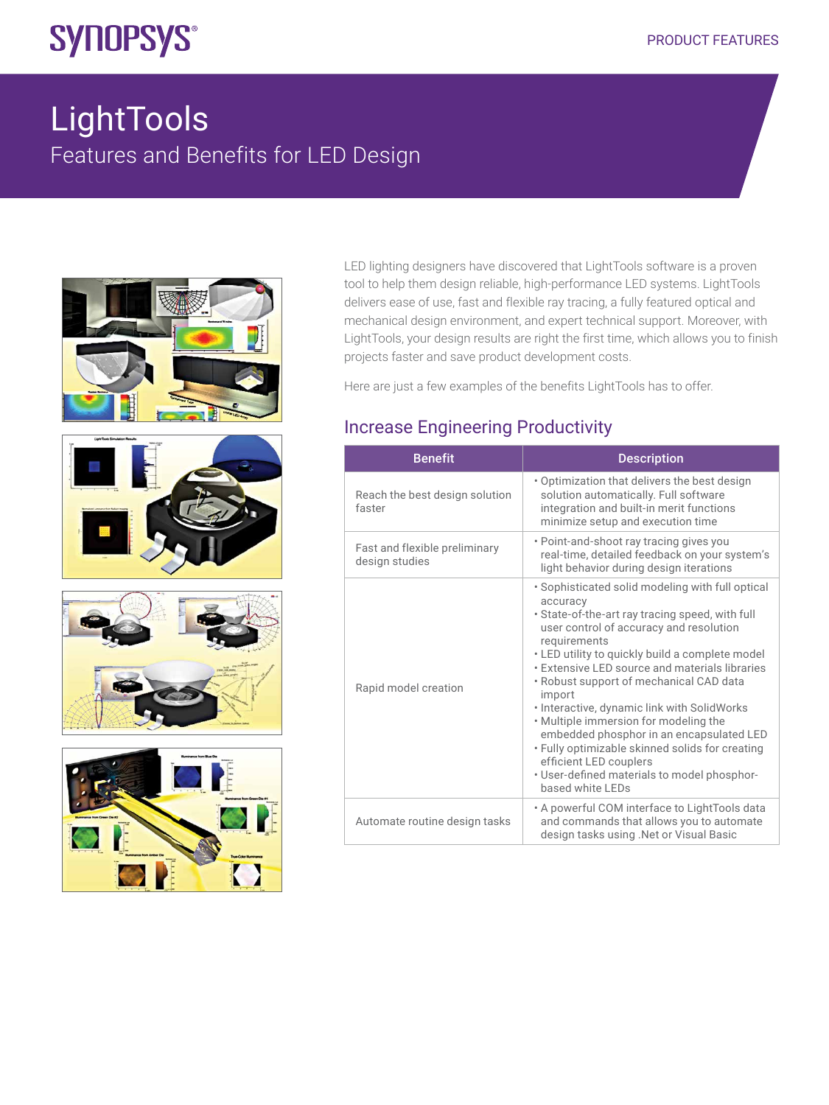# **SYNOPSYS®**

## LightTools Features and Benefits for LED Design



LED lighting designers have discovered that LightTools software is a proven tool to help them design reliable, high-performance LED systems. LightTools delivers ease of use, fast and flexible ray tracing, a fully featured optical and mechanical design environment, and expert technical support. Moreover, with LightTools, your design results are right the first time, which allows you to finish projects faster and save product development costs.

Here are just a few examples of the benefits LightTools has to offer.

#### Increase Engineering Productivity

| <b>Benefit</b>                                  | <b>Description</b>                                                                                                                                                                                                                                                                                                                                                                                                                                                                                                                                                                                                            |
|-------------------------------------------------|-------------------------------------------------------------------------------------------------------------------------------------------------------------------------------------------------------------------------------------------------------------------------------------------------------------------------------------------------------------------------------------------------------------------------------------------------------------------------------------------------------------------------------------------------------------------------------------------------------------------------------|
| Reach the best design solution<br>faster        | . Optimization that delivers the best design<br>solution automatically. Full software<br>integration and built-in merit functions<br>minimize setup and execution time                                                                                                                                                                                                                                                                                                                                                                                                                                                        |
| Fast and flexible preliminary<br>design studies | • Point-and-shoot ray tracing gives you<br>real-time, detailed feedback on your system's<br>light behavior during design iterations                                                                                                                                                                                                                                                                                                                                                                                                                                                                                           |
| Rapid model creation                            | . Sophisticated solid modeling with full optical<br>accuracy<br>. State-of-the-art ray tracing speed, with full<br>user control of accuracy and resolution<br>requirements<br>• LED utility to quickly build a complete model<br><b>Extensive LED source and materials libraries</b><br>• Robust support of mechanical CAD data<br>import<br>· Interactive, dynamic link with SolidWorks<br>. Multiple immersion for modeling the<br>embedded phosphor in an encapsulated LED<br>. Fully optimizable skinned solids for creating<br>efficient LED couplers<br>· User-defined materials to model phosphor-<br>based white LEDs |
| Automate routine design tasks                   | . A powerful COM interface to LightTools data<br>and commands that allows you to automate<br>design tasks using . Net or Visual Basic                                                                                                                                                                                                                                                                                                                                                                                                                                                                                         |